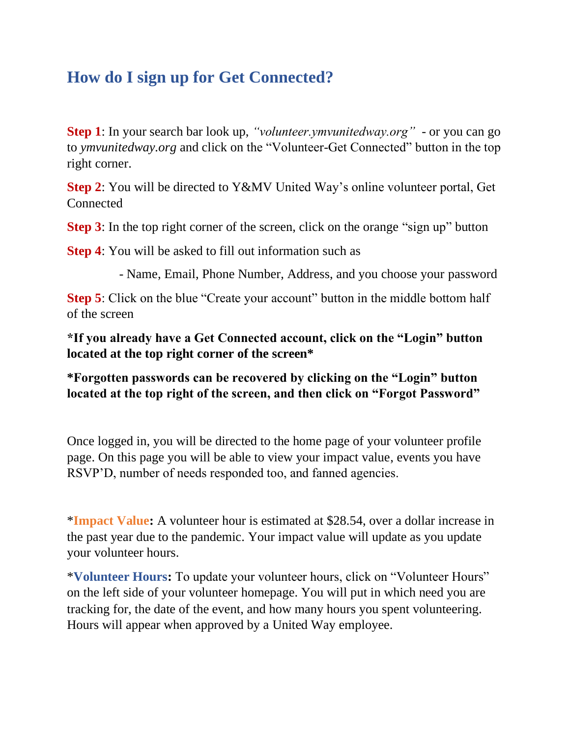## **How do I sign up for Get Connected?**

**Step 1**: In your search bar look up, *"volunteer.ymvunitedway.org"* - or you can go to *ymvunitedway.org* and click on the "Volunteer-Get Connected" button in the top right corner.

**Step 2**: You will be directed to Y&MV United Way's online volunteer portal, Get **Connected** 

**Step 3**: In the top right corner of the screen, click on the orange "sign up" button

**Step 4**: You will be asked to fill out information such as

- Name, Email, Phone Number, Address, and you choose your password

**Step 5**: Click on the blue "Create your account" button in the middle bottom half of the screen

**\*If you already have a Get Connected account, click on the "Login" button located at the top right corner of the screen\*** 

**\*Forgotten passwords can be recovered by clicking on the "Login" button located at the top right of the screen, and then click on "Forgot Password"** 

Once logged in, you will be directed to the home page of your volunteer profile page. On this page you will be able to view your impact value, events you have RSVP'D, number of needs responded too, and fanned agencies.

\***Impact Value:** A volunteer hour is estimated at \$28.54, over a dollar increase in the past year due to the pandemic. Your impact value will update as you update your volunteer hours.

\***Volunteer Hours:** To update your volunteer hours, click on "Volunteer Hours" on the left side of your volunteer homepage. You will put in which need you are tracking for, the date of the event, and how many hours you spent volunteering. Hours will appear when approved by a United Way employee.